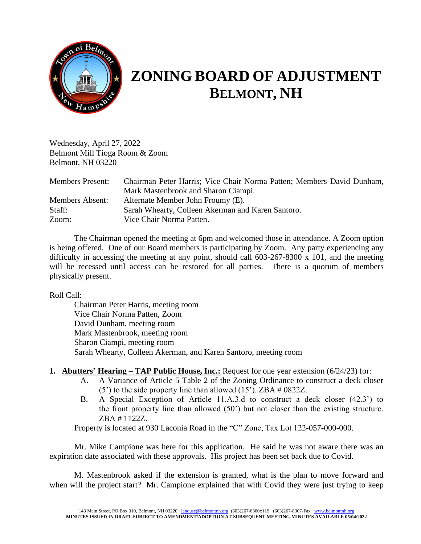

# **ZONING BOARD OF ADJUSTMENT BELMONT, NH**

Wednesday, April 27, 2022 Belmont Mill Tioga Room & Zoom Belmont, NH 03220

| <b>Members Present:</b> | Chairman Peter Harris; Vice Chair Norma Patten; Members David Dunham, |
|-------------------------|-----------------------------------------------------------------------|
|                         | Mark Mastenbrook and Sharon Ciampi.                                   |
| Members Absent:         | Alternate Member John Froumy (E).                                     |
| Staff:                  | Sarah Whearty, Colleen Akerman and Karen Santoro.                     |
| Zoom:                   | Vice Chair Norma Patten.                                              |

The Chairman opened the meeting at 6pm and welcomed those in attendance. A Zoom option is being offered. One of our Board members is participating by Zoom. Any party experiencing any difficulty in accessing the meeting at any point, should call 603-267-8300 x 101, and the meeting will be recessed until access can be restored for all parties. There is a quorum of members physically present.

Roll Call:

Chairman Peter Harris, meeting room Vice Chair Norma Patten, Zoom David Dunham, meeting room Mark Mastenbrook, meeting room Sharon Ciampi, meeting room Sarah Whearty, Colleen Akerman, and Karen Santoro, meeting room

# **1. Abutters' Hearing – TAP Public House, Inc.:** Request for one year extension (6/24/23) for:

- A. A Variance of Article 5 Table 2 of the Zoning Ordinance to construct a deck closer (5') to the side property line than allowed (15'). ZBA # 0822Z.
- B. A Special Exception of Article 11.A.3.d to construct a deck closer (42.3') to the front property line than allowed (50') but not closer than the existing structure. ZBA # 1122Z.

Property is located at 930 Laconia Road in the "C" Zone, Tax Lot 122-057-000-000.

Mr. Mike Campione was here for this application. He said he was not aware there was an expiration date associated with these approvals. His project has been set back due to Covid.

M. Mastenbrook asked if the extension is granted, what is the plan to move forward and when will the project start? Mr. Campione explained that with Covid they were just trying to keep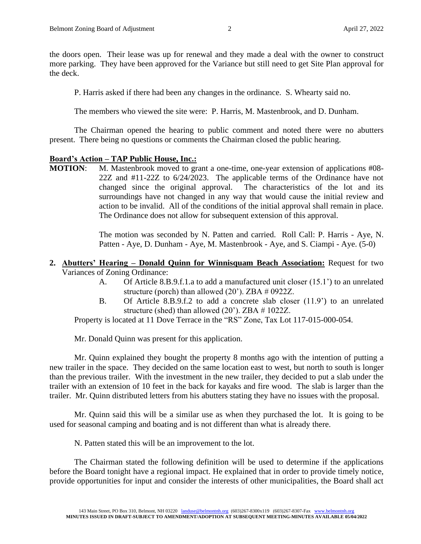the doors open. Their lease was up for renewal and they made a deal with the owner to construct more parking. They have been approved for the Variance but still need to get Site Plan approval for the deck.

P. Harris asked if there had been any changes in the ordinance. S. Whearty said no.

The members who viewed the site were: P. Harris, M. Mastenbrook, and D. Dunham.

The Chairman opened the hearing to public comment and noted there were no abutters present. There being no questions or comments the Chairman closed the public hearing.

# **Board's Action – TAP Public House, Inc.:**

**MOTION:** M. Mastenbrook moved to grant a one-time, one-year extension of applications #08-22Z and #11-22Z to 6/24/2023. The applicable terms of the Ordinance have not changed since the original approval. The characteristics of the lot and its surroundings have not changed in any way that would cause the initial review and action to be invalid. All of the conditions of the initial approval shall remain in place. The Ordinance does not allow for subsequent extension of this approval.

> The motion was seconded by N. Patten and carried. Roll Call: P. Harris - Aye, N. Patten - Aye, D. Dunham - Aye, M. Mastenbrook - Aye, and S. Ciampi - Aye. (5-0)

# **2. Abutters' Hearing – Donald Quinn for Winnisquam Beach Association:** Request for two Variances of Zoning Ordinance:

- A. Of Article 8.B.9.f.1.a to add a manufactured unit closer (15.1') to an unrelated structure (porch) than allowed (20'). ZBA # 0922Z.
- B. Of Article 8.B.9.f.2 to add a concrete slab closer (11.9') to an unrelated structure (shed) than allowed (20'). ZBA # 1022Z.

Property is located at 11 Dove Terrace in the "RS" Zone, Tax Lot 117-015-000-054.

Mr. Donald Quinn was present for this application.

Mr. Quinn explained they bought the property 8 months ago with the intention of putting a new trailer in the space. They decided on the same location east to west, but north to south is longer than the previous trailer. With the investment in the new trailer, they decided to put a slab under the trailer with an extension of 10 feet in the back for kayaks and fire wood. The slab is larger than the trailer. Mr. Quinn distributed letters from his abutters stating they have no issues with the proposal.

Mr. Quinn said this will be a similar use as when they purchased the lot. It is going to be used for seasonal camping and boating and is not different than what is already there.

N. Patten stated this will be an improvement to the lot.

The Chairman stated the following definition will be used to determine if the applications before the Board tonight have a regional impact. He explained that in order to provide timely notice, provide opportunities for input and consider the interests of other municipalities, the Board shall act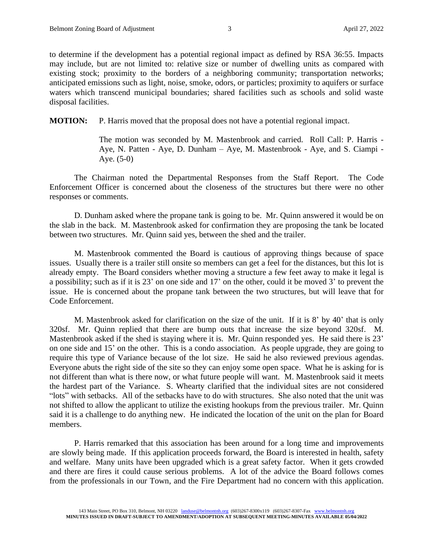to determine if the development has a potential regional impact as defined by RSA 36:55. Impacts may include, but are not limited to: relative size or number of dwelling units as compared with existing stock; proximity to the borders of a neighboring community; transportation networks; anticipated emissions such as light, noise, smoke, odors, or particles; proximity to aquifers or surface waters which transcend municipal boundaries; shared facilities such as schools and solid waste disposal facilities.

**MOTION:** P. Harris moved that the proposal does not have a potential regional impact.

The motion was seconded by M. Mastenbrook and carried. Roll Call: P. Harris - Aye, N. Patten - Aye, D. Dunham – Aye, M. Mastenbrook - Aye, and S. Ciampi - Aye. (5-0)

The Chairman noted the Departmental Responses from the Staff Report. The Code Enforcement Officer is concerned about the closeness of the structures but there were no other responses or comments.

D. Dunham asked where the propane tank is going to be. Mr. Quinn answered it would be on the slab in the back. M. Mastenbrook asked for confirmation they are proposing the tank be located between two structures. Mr. Quinn said yes, between the shed and the trailer.

M. Mastenbrook commented the Board is cautious of approving things because of space issues. Usually there is a trailer still onsite so members can get a feel for the distances, but this lot is already empty. The Board considers whether moving a structure a few feet away to make it legal is a possibility; such as if it is 23' on one side and 17' on the other, could it be moved 3' to prevent the issue. He is concerned about the propane tank between the two structures, but will leave that for Code Enforcement.

M. Mastenbrook asked for clarification on the size of the unit. If it is 8' by 40' that is only 320sf. Mr. Quinn replied that there are bump outs that increase the size beyond 320sf. M. Mastenbrook asked if the shed is staying where it is. Mr. Quinn responded yes. He said there is 23' on one side and 15' on the other. This is a condo association. As people upgrade, they are going to require this type of Variance because of the lot size. He said he also reviewed previous agendas. Everyone abuts the right side of the site so they can enjoy some open space. What he is asking for is not different than what is there now, or what future people will want. M. Mastenbrook said it meets the hardest part of the Variance. S. Whearty clarified that the individual sites are not considered "lots" with setbacks. All of the setbacks have to do with structures. She also noted that the unit was not shifted to allow the applicant to utilize the existing hookups from the previous trailer. Mr. Quinn said it is a challenge to do anything new. He indicated the location of the unit on the plan for Board members.

P. Harris remarked that this association has been around for a long time and improvements are slowly being made. If this application proceeds forward, the Board is interested in health, safety and welfare. Many units have been upgraded which is a great safety factor. When it gets crowded and there are fires it could cause serious problems. A lot of the advice the Board follows comes from the professionals in our Town, and the Fire Department had no concern with this application.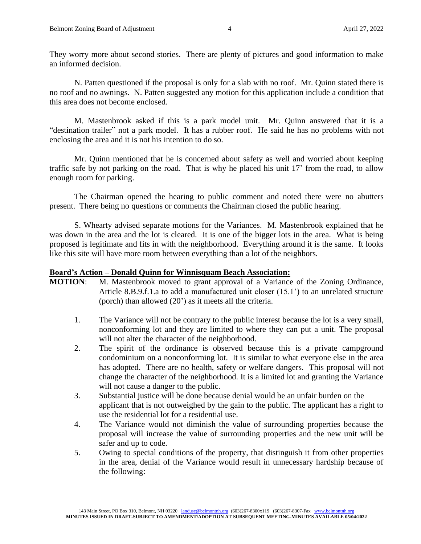They worry more about second stories. There are plenty of pictures and good information to make an informed decision.

N. Patten questioned if the proposal is only for a slab with no roof. Mr. Quinn stated there is no roof and no awnings. N. Patten suggested any motion for this application include a condition that this area does not become enclosed.

M. Mastenbrook asked if this is a park model unit. Mr. Quinn answered that it is a "destination trailer" not a park model. It has a rubber roof. He said he has no problems with not enclosing the area and it is not his intention to do so.

Mr. Quinn mentioned that he is concerned about safety as well and worried about keeping traffic safe by not parking on the road. That is why he placed his unit 17' from the road, to allow enough room for parking.

The Chairman opened the hearing to public comment and noted there were no abutters present. There being no questions or comments the Chairman closed the public hearing.

S. Whearty advised separate motions for the Variances. M. Mastenbrook explained that he was down in the area and the lot is cleared. It is one of the bigger lots in the area. What is being proposed is legitimate and fits in with the neighborhood. Everything around it is the same. It looks like this site will have more room between everything than a lot of the neighbors.

#### **Board's Action – Donald Quinn for Winnisquam Beach Association:**

**MOTION:** M. Mastenbrook moved to grant approval of a Variance of the Zoning Ordinance, Article 8.B.9.f.1.a to add a manufactured unit closer (15.1') to an unrelated structure (porch) than allowed (20') as it meets all the criteria.

- 1. The Variance will not be contrary to the public interest because the lot is a very small, nonconforming lot and they are limited to where they can put a unit. The proposal will not alter the character of the neighborhood.
- 2. The spirit of the ordinance is observed because this is a private campground condominium on a nonconforming lot. It is similar to what everyone else in the area has adopted. There are no health, safety or welfare dangers. This proposal will not change the character of the neighborhood. It is a limited lot and granting the Variance will not cause a danger to the public.
- 3. Substantial justice will be done because denial would be an unfair burden on the applicant that is not outweighed by the gain to the public. The applicant has a right to use the residential lot for a residential use.
- 4. The Variance would not diminish the value of surrounding properties because the proposal will increase the value of surrounding properties and the new unit will be safer and up to code.
- 5. Owing to special conditions of the property, that distinguish it from other properties in the area, denial of the Variance would result in unnecessary hardship because of the following: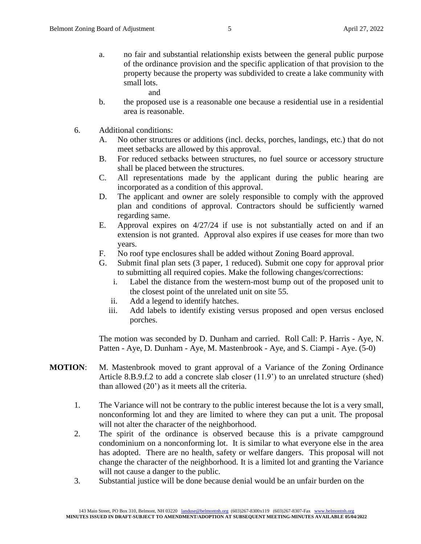- a. no fair and substantial relationship exists between the general public purpose of the ordinance provision and the specific application of that provision to the property because the property was subdivided to create a lake community with small lots.
	- and
- b. the proposed use is a reasonable one because a residential use in a residential area is reasonable.
- 6. Additional conditions:
	- A. No other structures or additions (incl. decks, porches, landings, etc.) that do not meet setbacks are allowed by this approval.
	- B. For reduced setbacks between structures, no fuel source or accessory structure shall be placed between the structures.
	- C. All representations made by the applicant during the public hearing are incorporated as a condition of this approval.
	- D. The applicant and owner are solely responsible to comply with the approved plan and conditions of approval. Contractors should be sufficiently warned regarding same.
	- E. Approval expires on 4/27/24 if use is not substantially acted on and if an extension is not granted. Approval also expires if use ceases for more than two years.
	- F. No roof type enclosures shall be added without Zoning Board approval.
	- G. Submit final plan sets (3 paper, 1 reduced). Submit one copy for approval prior to submitting all required copies. Make the following changes/corrections:
		- i. Label the distance from the western-most bump out of the proposed unit to the closest point of the unrelated unit on site 55.
		- ii. Add a legend to identify hatches.
		- iii. Add labels to identify existing versus proposed and open versus enclosed porches.

The motion was seconded by D. Dunham and carried. Roll Call: P. Harris - Aye, N. Patten - Aye, D. Dunham - Aye, M. Mastenbrook - Aye, and S. Ciampi - Aye. (5-0)

- **MOTION**: M. Mastenbrook moved to grant approval of a Variance of the Zoning Ordinance Article 8.B.9.f.2 to add a concrete slab closer (11.9') to an unrelated structure (shed) than allowed (20') as it meets all the criteria.
	- 1. The Variance will not be contrary to the public interest because the lot is a very small, nonconforming lot and they are limited to where they can put a unit. The proposal will not alter the character of the neighborhood.
	- 2. The spirit of the ordinance is observed because this is a private campground condominium on a nonconforming lot. It is similar to what everyone else in the area has adopted. There are no health, safety or welfare dangers. This proposal will not change the character of the neighborhood. It is a limited lot and granting the Variance will not cause a danger to the public.
	- 3. Substantial justice will be done because denial would be an unfair burden on the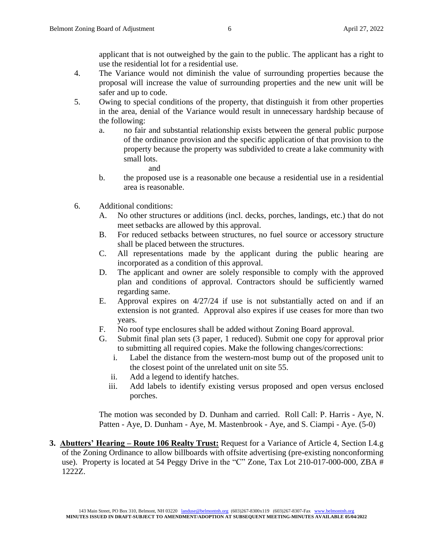applicant that is not outweighed by the gain to the public. The applicant has a right to use the residential lot for a residential use.

- 4. The Variance would not diminish the value of surrounding properties because the proposal will increase the value of surrounding properties and the new unit will be safer and up to code.
- 5. Owing to special conditions of the property, that distinguish it from other properties in the area, denial of the Variance would result in unnecessary hardship because of the following:
	- a. no fair and substantial relationship exists between the general public purpose of the ordinance provision and the specific application of that provision to the property because the property was subdivided to create a lake community with small lots.
		- and
	- b. the proposed use is a reasonable one because a residential use in a residential area is reasonable.
- 6. Additional conditions:
	- A. No other structures or additions (incl. decks, porches, landings, etc.) that do not meet setbacks are allowed by this approval.
	- B. For reduced setbacks between structures, no fuel source or accessory structure shall be placed between the structures.
	- C. All representations made by the applicant during the public hearing are incorporated as a condition of this approval.
	- D. The applicant and owner are solely responsible to comply with the approved plan and conditions of approval. Contractors should be sufficiently warned regarding same.
	- E. Approval expires on 4/27/24 if use is not substantially acted on and if an extension is not granted. Approval also expires if use ceases for more than two years.
	- F. No roof type enclosures shall be added without Zoning Board approval.
	- G. Submit final plan sets (3 paper, 1 reduced). Submit one copy for approval prior to submitting all required copies. Make the following changes/corrections:
		- i. Label the distance from the western-most bump out of the proposed unit to the closest point of the unrelated unit on site 55.
		- ii. Add a legend to identify hatches.
		- iii. Add labels to identify existing versus proposed and open versus enclosed porches.

The motion was seconded by D. Dunham and carried. Roll Call: P. Harris - Aye, N. Patten - Aye, D. Dunham - Aye, M. Mastenbrook - Aye, and S. Ciampi - Aye. (5-0)

**3. Abutters' Hearing – Route 106 Realty Trust:** Request for a Variance of Article 4, Section I.4.g of the Zoning Ordinance to allow billboards with offsite advertising (pre-existing nonconforming use). Property is located at 54 Peggy Drive in the "C" Zone, Tax Lot 210-017-000-000, ZBA # 1222Z.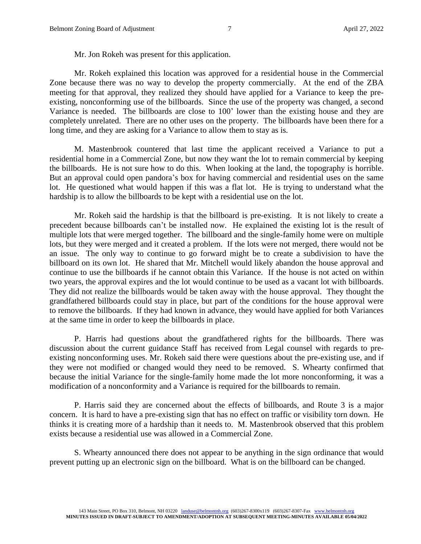Mr. Jon Rokeh was present for this application.

Mr. Rokeh explained this location was approved for a residential house in the Commercial Zone because there was no way to develop the property commercially. At the end of the ZBA meeting for that approval, they realized they should have applied for a Variance to keep the preexisting, nonconforming use of the billboards. Since the use of the property was changed, a second Variance is needed. The billboards are close to 100' lower than the existing house and they are completely unrelated. There are no other uses on the property. The billboards have been there for a long time, and they are asking for a Variance to allow them to stay as is.

M. Mastenbrook countered that last time the applicant received a Variance to put a residential home in a Commercial Zone, but now they want the lot to remain commercial by keeping the billboards. He is not sure how to do this. When looking at the land, the topography is horrible. But an approval could open pandora's box for having commercial and residential uses on the same lot. He questioned what would happen if this was a flat lot. He is trying to understand what the hardship is to allow the billboards to be kept with a residential use on the lot.

Mr. Rokeh said the hardship is that the billboard is pre-existing. It is not likely to create a precedent because billboards can't be installed now. He explained the existing lot is the result of multiple lots that were merged together. The billboard and the single-family home were on multiple lots, but they were merged and it created a problem. If the lots were not merged, there would not be an issue. The only way to continue to go forward might be to create a subdivision to have the billboard on its own lot. He shared that Mr. Mitchell would likely abandon the house approval and continue to use the billboards if he cannot obtain this Variance. If the house is not acted on within two years, the approval expires and the lot would continue to be used as a vacant lot with billboards. They did not realize the billboards would be taken away with the house approval. They thought the grandfathered billboards could stay in place, but part of the conditions for the house approval were to remove the billboards. If they had known in advance, they would have applied for both Variances at the same time in order to keep the billboards in place.

P. Harris had questions about the grandfathered rights for the billboards. There was discussion about the current guidance Staff has received from Legal counsel with regards to preexisting nonconforming uses. Mr. Rokeh said there were questions about the pre-existing use, and if they were not modified or changed would they need to be removed. S. Whearty confirmed that because the initial Variance for the single-family home made the lot more nonconforming, it was a modification of a nonconformity and a Variance is required for the billboards to remain.

P. Harris said they are concerned about the effects of billboards, and Route 3 is a major concern. It is hard to have a pre-existing sign that has no effect on traffic or visibility torn down. He thinks it is creating more of a hardship than it needs to. M. Mastenbrook observed that this problem exists because a residential use was allowed in a Commercial Zone.

S. Whearty announced there does not appear to be anything in the sign ordinance that would prevent putting up an electronic sign on the billboard. What is on the billboard can be changed.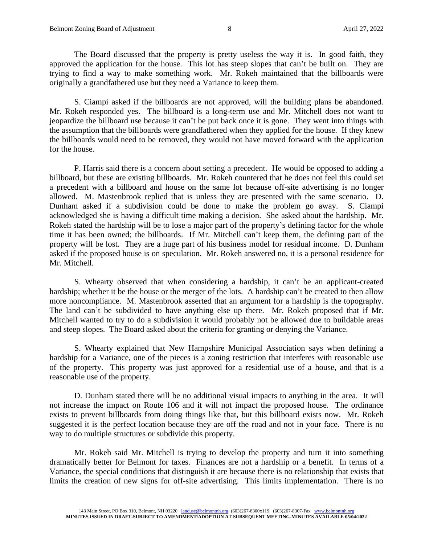The Board discussed that the property is pretty useless the way it is. In good faith, they approved the application for the house. This lot has steep slopes that can't be built on. They are trying to find a way to make something work. Mr. Rokeh maintained that the billboards were originally a grandfathered use but they need a Variance to keep them.

S. Ciampi asked if the billboards are not approved, will the building plans be abandoned. Mr. Rokeh responded yes. The billboard is a long-term use and Mr. Mitchell does not want to jeopardize the billboard use because it can't be put back once it is gone. They went into things with the assumption that the billboards were grandfathered when they applied for the house. If they knew the billboards would need to be removed, they would not have moved forward with the application for the house.

P. Harris said there is a concern about setting a precedent. He would be opposed to adding a billboard, but these are existing billboards. Mr. Rokeh countered that he does not feel this could set a precedent with a billboard and house on the same lot because off-site advertising is no longer allowed. M. Mastenbrook replied that is unless they are presented with the same scenario. D. Dunham asked if a subdivision could be done to make the problem go away. S. Ciampi acknowledged she is having a difficult time making a decision. She asked about the hardship. Mr. Rokeh stated the hardship will be to lose a major part of the property's defining factor for the whole time it has been owned; the billboards. If Mr. Mitchell can't keep them, the defining part of the property will be lost. They are a huge part of his business model for residual income. D. Dunham asked if the proposed house is on speculation. Mr. Rokeh answered no, it is a personal residence for Mr. Mitchell.

S. Whearty observed that when considering a hardship, it can't be an applicant-created hardship; whether it be the house or the merger of the lots. A hardship can't be created to then allow more noncompliance. M. Mastenbrook asserted that an argument for a hardship is the topography. The land can't be subdivided to have anything else up there. Mr. Rokeh proposed that if Mr. Mitchell wanted to try to do a subdivision it would probably not be allowed due to buildable areas and steep slopes. The Board asked about the criteria for granting or denying the Variance.

S. Whearty explained that New Hampshire Municipal Association says when defining a hardship for a Variance, one of the pieces is a zoning restriction that interferes with reasonable use of the property. This property was just approved for a residential use of a house, and that is a reasonable use of the property.

D. Dunham stated there will be no additional visual impacts to anything in the area. It will not increase the impact on Route 106 and it will not impact the proposed house. The ordinance exists to prevent billboards from doing things like that, but this billboard exists now. Mr. Rokeh suggested it is the perfect location because they are off the road and not in your face. There is no way to do multiple structures or subdivide this property.

Mr. Rokeh said Mr. Mitchell is trying to develop the property and turn it into something dramatically better for Belmont for taxes. Finances are not a hardship or a benefit. In terms of a Variance, the special conditions that distinguish it are because there is no relationship that exists that limits the creation of new signs for off-site advertising. This limits implementation. There is no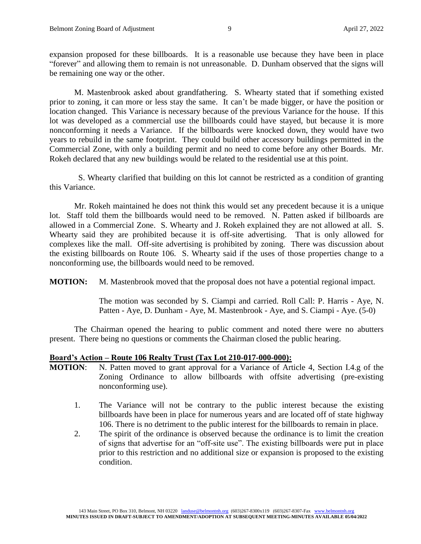expansion proposed for these billboards. It is a reasonable use because they have been in place "forever" and allowing them to remain is not unreasonable. D. Dunham observed that the signs will be remaining one way or the other.

M. Mastenbrook asked about grandfathering. S. Whearty stated that if something existed prior to zoning, it can more or less stay the same. It can't be made bigger, or have the position or location changed. This Variance is necessary because of the previous Variance for the house. If this lot was developed as a commercial use the billboards could have stayed, but because it is more nonconforming it needs a Variance. If the billboards were knocked down, they would have two years to rebuild in the same footprint. They could build other accessory buildings permitted in the Commercial Zone, with only a building permit and no need to come before any other Boards. Mr. Rokeh declared that any new buildings would be related to the residential use at this point.

S. Whearty clarified that building on this lot cannot be restricted as a condition of granting this Variance.

Mr. Rokeh maintained he does not think this would set any precedent because it is a unique lot. Staff told them the billboards would need to be removed. N. Patten asked if billboards are allowed in a Commercial Zone. S. Whearty and J. Rokeh explained they are not allowed at all. S. Whearty said they are prohibited because it is off-site advertising. That is only allowed for complexes like the mall. Off-site advertising is prohibited by zoning. There was discussion about the existing billboards on Route 106. S. Whearty said if the uses of those properties change to a nonconforming use, the billboards would need to be removed.

**MOTION:** M. Mastenbrook moved that the proposal does not have a potential regional impact.

The motion was seconded by S. Ciampi and carried. Roll Call: P. Harris - Aye, N. Patten - Aye, D. Dunham - Aye, M. Mastenbrook - Aye, and S. Ciampi - Aye. (5-0)

The Chairman opened the hearing to public comment and noted there were no abutters present. There being no questions or comments the Chairman closed the public hearing.

### **Board's Action – Route 106 Realty Trust (Tax Lot 210-017-000-000):**

- **MOTION**: N. Patten moved to grant approval for a Variance of Article 4, Section I.4.g of the Zoning Ordinance to allow billboards with offsite advertising (pre-existing nonconforming use).
	- 1. The Variance will not be contrary to the public interest because the existing billboards have been in place for numerous years and are located off of state highway 106. There is no detriment to the public interest for the billboards to remain in place.
	- 2. The spirit of the ordinance is observed because the ordinance is to limit the creation of signs that advertise for an "off-site use". The existing billboards were put in place prior to this restriction and no additional size or expansion is proposed to the existing condition.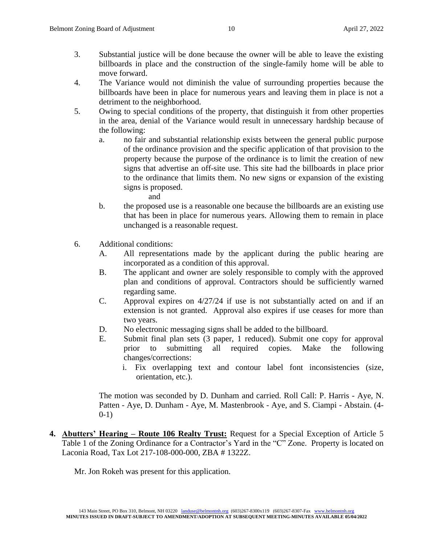- 3. Substantial justice will be done because the owner will be able to leave the existing billboards in place and the construction of the single-family home will be able to move forward.
- 4. The Variance would not diminish the value of surrounding properties because the billboards have been in place for numerous years and leaving them in place is not a detriment to the neighborhood.
- 5. Owing to special conditions of the property, that distinguish it from other properties in the area, denial of the Variance would result in unnecessary hardship because of the following:
	- a. no fair and substantial relationship exists between the general public purpose of the ordinance provision and the specific application of that provision to the property because the purpose of the ordinance is to limit the creation of new signs that advertise an off-site use. This site had the billboards in place prior to the ordinance that limits them. No new signs or expansion of the existing signs is proposed.
		- and
	- b. the proposed use is a reasonable one because the billboards are an existing use that has been in place for numerous years. Allowing them to remain in place unchanged is a reasonable request.
- 6. Additional conditions:
	- A. All representations made by the applicant during the public hearing are incorporated as a condition of this approval.
	- B. The applicant and owner are solely responsible to comply with the approved plan and conditions of approval. Contractors should be sufficiently warned regarding same.
	- C. Approval expires on 4/27/24 if use is not substantially acted on and if an extension is not granted. Approval also expires if use ceases for more than two years.
	- D. No electronic messaging signs shall be added to the billboard.
	- E. Submit final plan sets (3 paper, 1 reduced). Submit one copy for approval prior to submitting all required copies. Make the following changes/corrections:
		- i. Fix overlapping text and contour label font inconsistencies (size, orientation, etc.).

The motion was seconded by D. Dunham and carried. Roll Call: P. Harris - Aye, N. Patten - Aye, D. Dunham - Aye, M. Mastenbrook - Aye, and S. Ciampi - Abstain. (4- 0-1)

**4. Abutters' Hearing – Route 106 Realty Trust:** Request for a Special Exception of Article 5 Table 1 of the Zoning Ordinance for a Contractor's Yard in the "C" Zone. Property is located on Laconia Road, Tax Lot 217-108-000-000, ZBA # 1322Z.

Mr. Jon Rokeh was present for this application.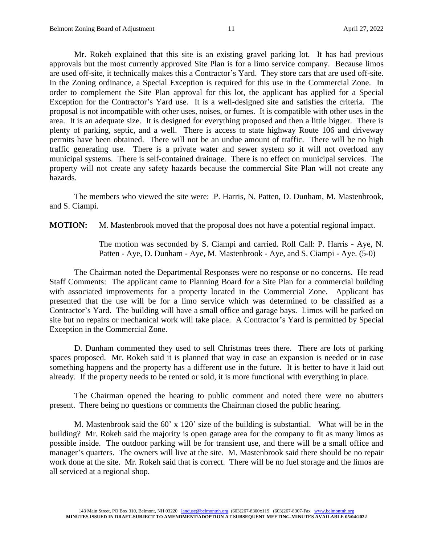Mr. Rokeh explained that this site is an existing gravel parking lot. It has had previous approvals but the most currently approved Site Plan is for a limo service company. Because limos are used off-site, it technically makes this a Contractor's Yard. They store cars that are used off-site. In the Zoning ordinance, a Special Exception is required for this use in the Commercial Zone. In order to complement the Site Plan approval for this lot, the applicant has applied for a Special Exception for the Contractor's Yard use. It is a well-designed site and satisfies the criteria. The proposal is not incompatible with other uses, noises, or fumes. It is compatible with other uses in the area. It is an adequate size. It is designed for everything proposed and then a little bigger. There is plenty of parking, septic, and a well. There is access to state highway Route 106 and driveway permits have been obtained. There will not be an undue amount of traffic. There will be no high traffic generating use. There is a private water and sewer system so it will not overload any municipal systems. There is self-contained drainage. There is no effect on municipal services. The property will not create any safety hazards because the commercial Site Plan will not create any hazards.

The members who viewed the site were: P. Harris, N. Patten, D. Dunham, M. Mastenbrook, and S. Ciampi.

**MOTION:** M. Mastenbrook moved that the proposal does not have a potential regional impact.

The motion was seconded by S. Ciampi and carried. Roll Call: P. Harris - Aye, N. Patten - Aye, D. Dunham - Aye, M. Mastenbrook - Aye, and S. Ciampi - Aye. (5-0)

The Chairman noted the Departmental Responses were no response or no concerns. He read Staff Comments: The applicant came to Planning Board for a Site Plan for a commercial building with associated improvements for a property located in the Commercial Zone. Applicant has presented that the use will be for a limo service which was determined to be classified as a Contractor's Yard. The building will have a small office and garage bays. Limos will be parked on site but no repairs or mechanical work will take place. A Contractor's Yard is permitted by Special Exception in the Commercial Zone.

D. Dunham commented they used to sell Christmas trees there. There are lots of parking spaces proposed. Mr. Rokeh said it is planned that way in case an expansion is needed or in case something happens and the property has a different use in the future. It is better to have it laid out already. If the property needs to be rented or sold, it is more functional with everything in place.

The Chairman opened the hearing to public comment and noted there were no abutters present. There being no questions or comments the Chairman closed the public hearing.

M. Mastenbrook said the 60' x 120' size of the building is substantial. What will be in the building? Mr. Rokeh said the majority is open garage area for the company to fit as many limos as possible inside. The outdoor parking will be for transient use, and there will be a small office and manager's quarters. The owners will live at the site. M. Mastenbrook said there should be no repair work done at the site. Mr. Rokeh said that is correct. There will be no fuel storage and the limos are all serviced at a regional shop.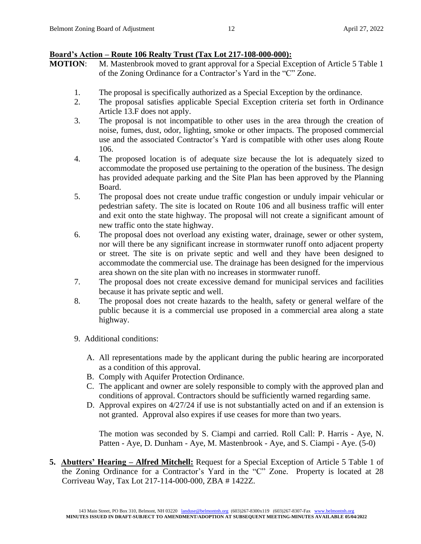# **Board's Action – Route 106 Realty Trust (Tax Lot 217-108-000-000):**

- **MOTION:** M. Mastenbrook moved to grant approval for a Special Exception of Article 5 Table 1 of the Zoning Ordinance for a Contractor's Yard in the "C" Zone.
	- 1. The proposal is specifically authorized as a Special Exception by the ordinance.
	- 2. The proposal satisfies applicable Special Exception criteria set forth in Ordinance Article 13.F does not apply.
	- 3. The proposal is not incompatible to other uses in the area through the creation of noise, fumes, dust, odor, lighting, smoke or other impacts. The proposed commercial use and the associated Contractor's Yard is compatible with other uses along Route 106.
	- 4. The proposed location is of adequate size because the lot is adequately sized to accommodate the proposed use pertaining to the operation of the business. The design has provided adequate parking and the Site Plan has been approved by the Planning Board.
	- 5. The proposal does not create undue traffic congestion or unduly impair vehicular or pedestrian safety. The site is located on Route 106 and all business traffic will enter and exit onto the state highway. The proposal will not create a significant amount of new traffic onto the state highway.
	- 6. The proposal does not overload any existing water, drainage, sewer or other system, nor will there be any significant increase in stormwater runoff onto adjacent property or street. The site is on private septic and well and they have been designed to accommodate the commercial use. The drainage has been designed for the impervious area shown on the site plan with no increases in stormwater runoff.
	- 7. The proposal does not create excessive demand for municipal services and facilities because it has private septic and well.
	- 8. The proposal does not create hazards to the health, safety or general welfare of the public because it is a commercial use proposed in a commercial area along a state highway.
	- 9. Additional conditions:
		- A. All representations made by the applicant during the public hearing are incorporated as a condition of this approval.
		- B. Comply with Aquifer Protection Ordinance.
		- C. The applicant and owner are solely responsible to comply with the approved plan and conditions of approval. Contractors should be sufficiently warned regarding same.
		- D. Approval expires on 4/27/24 if use is not substantially acted on and if an extension is not granted. Approval also expires if use ceases for more than two years.

The motion was seconded by S. Ciampi and carried. Roll Call: P. Harris - Aye, N. Patten - Aye, D. Dunham - Aye, M. Mastenbrook - Aye, and S. Ciampi - Aye. (5-0)

**5. Abutters' Hearing – Alfred Mitchell:** Request for a Special Exception of Article 5 Table 1 of the Zoning Ordinance for a Contractor's Yard in the "C" Zone. Property is located at 28 Corriveau Way, Tax Lot 217-114-000-000, ZBA # 1422Z.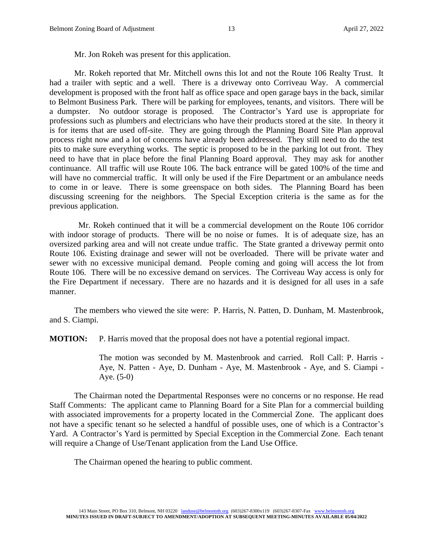Mr. Jon Rokeh was present for this application.

Mr. Rokeh reported that Mr. Mitchell owns this lot and not the Route 106 Realty Trust. It had a trailer with septic and a well. There is a driveway onto Corriveau Way. A commercial development is proposed with the front half as office space and open garage bays in the back, similar to Belmont Business Park. There will be parking for employees, tenants, and visitors. There will be a dumpster. No outdoor storage is proposed. The Contractor's Yard use is appropriate for professions such as plumbers and electricians who have their products stored at the site. In theory it is for items that are used off-site. They are going through the Planning Board Site Plan approval process right now and a lot of concerns have already been addressed. They still need to do the test pits to make sure everything works. The septic is proposed to be in the parking lot out front. They need to have that in place before the final Planning Board approval. They may ask for another continuance. All traffic will use Route 106. The back entrance will be gated 100% of the time and will have no commercial traffic. It will only be used if the Fire Department or an ambulance needs to come in or leave. There is some greenspace on both sides. The Planning Board has been discussing screening for the neighbors. The Special Exception criteria is the same as for the previous application.

 Mr. Rokeh continued that it will be a commercial development on the Route 106 corridor with indoor storage of products. There will be no noise or fumes. It is of adequate size, has an oversized parking area and will not create undue traffic. The State granted a driveway permit onto Route 106. Existing drainage and sewer will not be overloaded. There will be private water and sewer with no excessive municipal demand. People coming and going will access the lot from Route 106. There will be no excessive demand on services. The Corriveau Way access is only for the Fire Department if necessary. There are no hazards and it is designed for all uses in a safe manner.

The members who viewed the site were: P. Harris, N. Patten, D. Dunham, M. Mastenbrook, and S. Ciampi.

**MOTION:** P. Harris moved that the proposal does not have a potential regional impact.

The motion was seconded by M. Mastenbrook and carried. Roll Call: P. Harris - Aye, N. Patten - Aye, D. Dunham - Aye, M. Mastenbrook - Aye, and S. Ciampi - Aye. (5-0)

The Chairman noted the Departmental Responses were no concerns or no response. He read Staff Comments: The applicant came to Planning Board for a Site Plan for a commercial building with associated improvements for a property located in the Commercial Zone. The applicant does not have a specific tenant so he selected a handful of possible uses, one of which is a Contractor's Yard. A Contractor's Yard is permitted by Special Exception in the Commercial Zone. Each tenant will require a Change of Use/Tenant application from the Land Use Office.

The Chairman opened the hearing to public comment.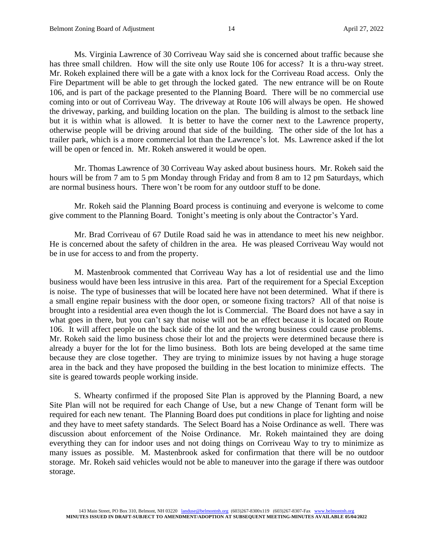Ms. Virginia Lawrence of 30 Corriveau Way said she is concerned about traffic because she has three small children. How will the site only use Route 106 for access? It is a thru-way street. Mr. Rokeh explained there will be a gate with a knox lock for the Corriveau Road access. Only the Fire Department will be able to get through the locked gated. The new entrance will be on Route 106, and is part of the package presented to the Planning Board. There will be no commercial use coming into or out of Corriveau Way. The driveway at Route 106 will always be open. He showed the driveway, parking, and building location on the plan. The building is almost to the setback line but it is within what is allowed. It is better to have the corner next to the Lawrence property, otherwise people will be driving around that side of the building. The other side of the lot has a trailer park, which is a more commercial lot than the Lawrence's lot. Ms. Lawrence asked if the lot will be open or fenced in. Mr. Rokeh answered it would be open.

Mr. Thomas Lawrence of 30 Corriveau Way asked about business hours. Mr. Rokeh said the hours will be from 7 am to 5 pm Monday through Friday and from 8 am to 12 pm Saturdays, which are normal business hours. There won't be room for any outdoor stuff to be done.

Mr. Rokeh said the Planning Board process is continuing and everyone is welcome to come give comment to the Planning Board. Tonight's meeting is only about the Contractor's Yard.

Mr. Brad Corriveau of 67 Dutile Road said he was in attendance to meet his new neighbor. He is concerned about the safety of children in the area. He was pleased Corriveau Way would not be in use for access to and from the property.

M. Mastenbrook commented that Corriveau Way has a lot of residential use and the limo business would have been less intrusive in this area. Part of the requirement for a Special Exception is noise. The type of businesses that will be located here have not been determined. What if there is a small engine repair business with the door open, or someone fixing tractors? All of that noise is brought into a residential area even though the lot is Commercial. The Board does not have a say in what goes in there, but you can't say that noise will not be an effect because it is located on Route 106. It will affect people on the back side of the lot and the wrong business could cause problems. Mr. Rokeh said the limo business chose their lot and the projects were determined because there is already a buyer for the lot for the limo business. Both lots are being developed at the same time because they are close together. They are trying to minimize issues by not having a huge storage area in the back and they have proposed the building in the best location to minimize effects. The site is geared towards people working inside.

S. Whearty confirmed if the proposed Site Plan is approved by the Planning Board, a new Site Plan will not be required for each Change of Use, but a new Change of Tenant form will be required for each new tenant. The Planning Board does put conditions in place for lighting and noise and they have to meet safety standards. The Select Board has a Noise Ordinance as well. There was discussion about enforcement of the Noise Ordinance. Mr. Rokeh maintained they are doing everything they can for indoor uses and not doing things on Corriveau Way to try to minimize as many issues as possible. M. Mastenbrook asked for confirmation that there will be no outdoor storage. Mr. Rokeh said vehicles would not be able to maneuver into the garage if there was outdoor storage.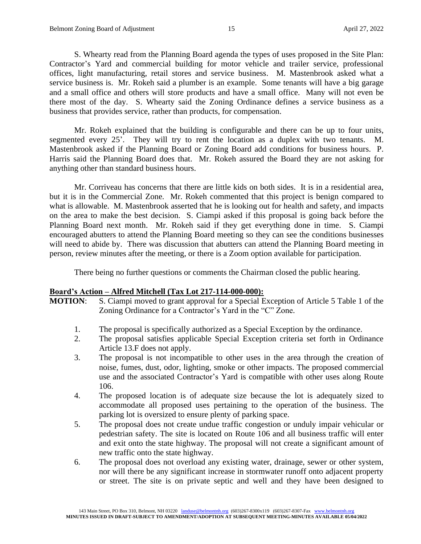S. Whearty read from the Planning Board agenda the types of uses proposed in the Site Plan: Contractor's Yard and commercial building for motor vehicle and trailer service, professional offices, light manufacturing, retail stores and service business. M. Mastenbrook asked what a service business is. Mr. Rokeh said a plumber is an example. Some tenants will have a big garage and a small office and others will store products and have a small office. Many will not even be there most of the day. S. Whearty said the Zoning Ordinance defines a service business as a business that provides service, rather than products, for compensation.

Mr. Rokeh explained that the building is configurable and there can be up to four units, segmented every 25'. They will try to rent the location as a duplex with two tenants. M. Mastenbrook asked if the Planning Board or Zoning Board add conditions for business hours. P. Harris said the Planning Board does that. Mr. Rokeh assured the Board they are not asking for anything other than standard business hours.

Mr. Corriveau has concerns that there are little kids on both sides. It is in a residential area, but it is in the Commercial Zone. Mr. Rokeh commented that this project is benign compared to what is allowable. M. Mastenbrook asserted that he is looking out for health and safety, and impacts on the area to make the best decision. S. Ciampi asked if this proposal is going back before the Planning Board next month. Mr. Rokeh said if they get everything done in time. S. Ciampi encouraged abutters to attend the Planning Board meeting so they can see the conditions businesses will need to abide by. There was discussion that abutters can attend the Planning Board meeting in person, review minutes after the meeting, or there is a Zoom option available for participation.

There being no further questions or comments the Chairman closed the public hearing.

### **Board's Action – Alfred Mitchell (Tax Lot 217-114-000-000):**

**MOTION**: S. Ciampi moved to grant approval for a Special Exception of Article 5 Table 1 of the Zoning Ordinance for a Contractor's Yard in the "C" Zone.

- 1. The proposal is specifically authorized as a Special Exception by the ordinance.
- 2. The proposal satisfies applicable Special Exception criteria set forth in Ordinance Article 13.F does not apply.
- 3. The proposal is not incompatible to other uses in the area through the creation of noise, fumes, dust, odor, lighting, smoke or other impacts. The proposed commercial use and the associated Contractor's Yard is compatible with other uses along Route 106.
- 4. The proposed location is of adequate size because the lot is adequately sized to accommodate all proposed uses pertaining to the operation of the business. The parking lot is oversized to ensure plenty of parking space.
- 5. The proposal does not create undue traffic congestion or unduly impair vehicular or pedestrian safety. The site is located on Route 106 and all business traffic will enter and exit onto the state highway. The proposal will not create a significant amount of new traffic onto the state highway.
- 6. The proposal does not overload any existing water, drainage, sewer or other system, nor will there be any significant increase in stormwater runoff onto adjacent property or street. The site is on private septic and well and they have been designed to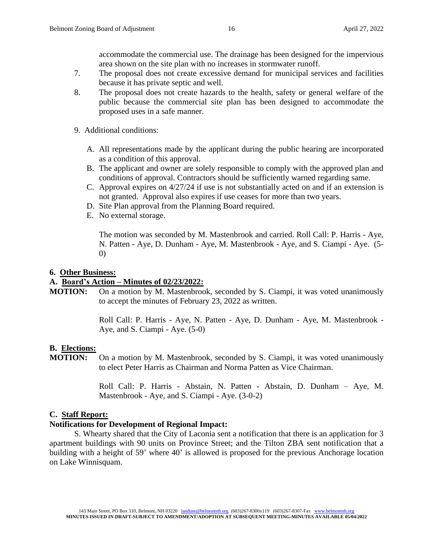accommodate the commercial use. The drainage has been designed for the impervious area shown on the site plan with no increases in stormwater runoff.

- 7. The proposal does not create excessive demand for municipal services and facilities because it has private septic and well.
- 8. The proposal does not create hazards to the health, safety or general welfare of the public because the commercial site plan has been designed to accommodate the proposed uses in a safe manner.
- 9. Additional conditions:
	- A. All representations made by the applicant during the public hearing are incorporated as a condition of this approval.
	- B. The applicant and owner are solely responsible to comply with the approved plan and conditions of approval. Contractors should be sufficiently warned regarding same.
	- C. Approval expires on 4/27/24 if use is not substantially acted on and if an extension is not granted. Approval also expires if use ceases for more than two years.
	- D. Site Plan approval from the Planning Board required.
	- E. No external storage.

The motion was seconded by M. Mastenbrook and carried. Roll Call: P. Harris - Aye, N. Patten - Aye, D. Dunham - Aye, M. Mastenbrook - Aye, and S. Ciampi - Aye. (5- 0)

### **6. Other Business:**

### **A. Board's Action – Minutes of 02/23/2022:**

**MOTION:** On a motion by M. Mastenbrook, seconded by S. Ciampi, it was voted unanimously to accept the minutes of February 23, 2022 as written.

> Roll Call: P. Harris - Aye, N. Patten - Aye, D. Dunham - Aye, M. Mastenbrook - Aye, and S. Ciampi - Aye. (5-0)

### **B. Elections:**

**MOTION:** On a motion by M. Mastenbrook, seconded by S. Ciampi, it was voted unanimously to elect Peter Harris as Chairman and Norma Patten as Vice Chairman.

> Roll Call: P. Harris - Abstain, N. Patten - Abstain, D. Dunham – Aye, M. Mastenbrook - Aye, and S. Ciampi - Aye. (3-0-2)

### **C. Staff Report:**

### **Notifications for Development of Regional Impact:**

S. Whearty shared that the City of Laconia sent a notification that there is an application for 3 apartment buildings with 90 units on Province Street; and the Tilton ZBA sent notification that a building with a height of 59' where 40' is allowed is proposed for the previous Anchorage location on Lake Winnisquam.